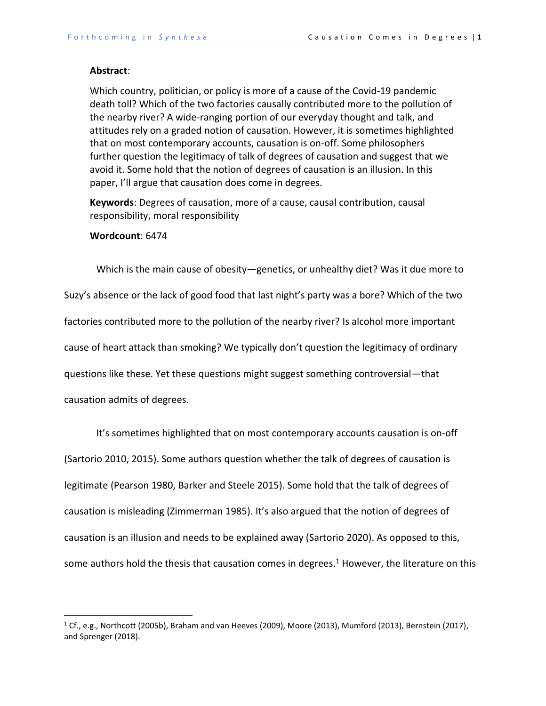#### **Abstract**:

Which country, politician, or policy is more of a cause of the Covid-19 pandemic death toll? Which of the two factories causally contributed more to the pollution of the nearby river? A wide-ranging portion of our everyday thought and talk, and attitudes rely on a graded notion of causation. However, it is sometimes highlighted that on most contemporary accounts, causation is on-off. Some philosophers further question the legitimacy of talk of degrees of causation and suggest that we avoid it. Some hold that the notion of degrees of causation is an illusion. In this paper, I'll argue that causation does come in degrees.

**Keywords**: Degrees of causation, more of a cause, causal contribution, causal responsibility, moral responsibility

# **Wordcount**: 6474

Which is the main cause of obesity—genetics, or unhealthy diet? Was it due more to Suzy's absence or the lack of good food that last night's party was a bore? Which of the two factories contributed more to the pollution of the nearby river? Is alcohol more important cause of heart attack than smoking? We typically don't question the legitimacy of ordinary questions like these. Yet these questions might suggest something controversial—that causation admits of degrees.

It's sometimes highlighted that on most contemporary accounts causation is on-off (Sartorio 2010, 2015). Some authors question whether the talk of degrees of causation is legitimate (Pearson 1980, Barker and Steele 2015). Some hold that the talk of degrees of causation is misleading (Zimmerman 1985). It's also argued that the notion of degrees of causation is an illusion and needs to be explained away (Sartorio 2020). As opposed to this, some authors hold the thesis that causation comes in degrees.<sup>1</sup> However, the literature on this

<sup>&</sup>lt;sup>1</sup> Cf., e.g., Northcott (2005b), Braham and van Heeves (2009), Moore (2013), Mumford (2013), Bernstein (2017), and Sprenger (2018).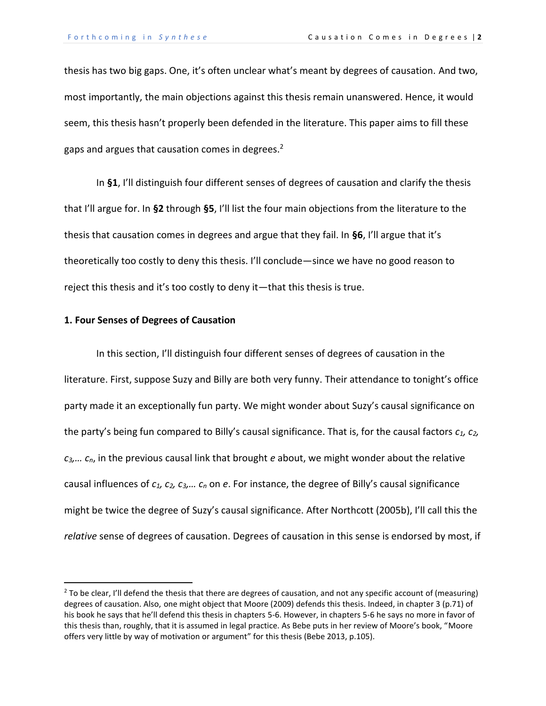thesis has two big gaps. One, it's often unclear what's meant by degrees of causation. And two, most importantly, the main objections against this thesis remain unanswered. Hence, it would seem, this thesis hasn't properly been defended in the literature. This paper aims to fill these gaps and argues that causation comes in degrees.<sup>2</sup>

In **§1**, I'll distinguish four different senses of degrees of causation and clarify the thesis that I'll argue for. In **§2** through **§5**, I'll list the four main objections from the literature to the thesis that causation comes in degrees and argue that they fail. In **§6**, I'll argue that it's theoretically too costly to deny this thesis. I'll conclude—since we have no good reason to reject this thesis and it's too costly to deny it—that this thesis is true.

# **1. Four Senses of Degrees of Causation**

In this section, I'll distinguish four different senses of degrees of causation in the literature. First, suppose Suzy and Billy are both very funny. Their attendance to tonight's office party made it an exceptionally fun party. We might wonder about Suzy's causal significance on the party's being fun compared to Billy's causal significance. That is, for the causal factors *c1, c2, c3,… cn*, in the previous causal link that brought *e* about, we might wonder about the relative causal influences of *c1, c2, c3,… c<sup>n</sup>* on *e*. For instance, the degree of Billy's causal significance might be twice the degree of Suzy's causal significance. After Northcott (2005b), I'll call this the *relative* sense of degrees of causation. Degrees of causation in this sense is endorsed by most, if

<sup>&</sup>lt;sup>2</sup> To be clear, I'll defend the thesis that there are degrees of causation, and not any specific account of (measuring) degrees of causation. Also, one might object that Moore (2009) defends this thesis. Indeed, in chapter 3 (p.71) of his book he says that he'll defend this thesis in chapters 5-6. However, in chapters 5-6 he says no more in favor of this thesis than, roughly, that it is assumed in legal practice. As Bebe puts in her review of Moore's book, "Moore offers very little by way of motivation or argument" for this thesis (Bebe 2013, p.105).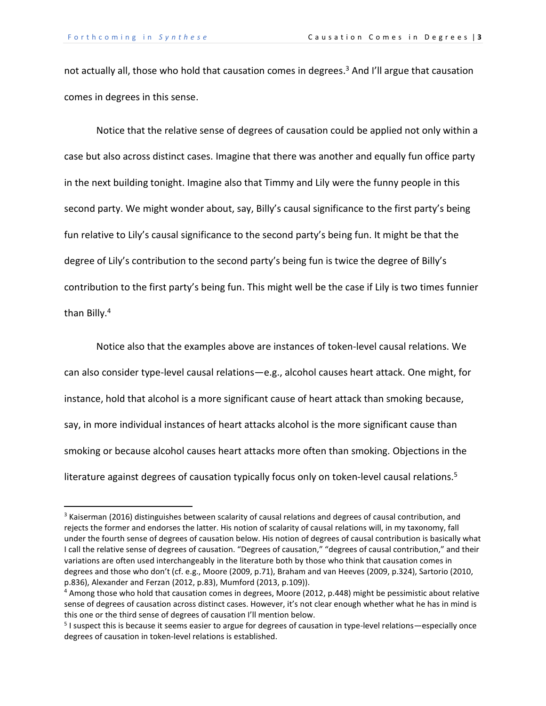not actually all, those who hold that causation comes in degrees. <sup>3</sup> And I'll argue that causation comes in degrees in this sense.

Notice that the relative sense of degrees of causation could be applied not only within a case but also across distinct cases. Imagine that there was another and equally fun office party in the next building tonight. Imagine also that Timmy and Lily were the funny people in this second party. We might wonder about, say, Billy's causal significance to the first party's being fun relative to Lily's causal significance to the second party's being fun. It might be that the degree of Lily's contribution to the second party's being fun is twice the degree of Billy's contribution to the first party's being fun. This might well be the case if Lily is two times funnier than Billy.<sup>4</sup>

Notice also that the examples above are instances of token-level causal relations. We can also consider type-level causal relations—e.g., alcohol causes heart attack. One might, for instance, hold that alcohol is a more significant cause of heart attack than smoking because, say, in more individual instances of heart attacks alcohol is the more significant cause than smoking or because alcohol causes heart attacks more often than smoking. Objections in the literature against degrees of causation typically focus only on token-level causal relations.<sup>5</sup>

<sup>&</sup>lt;sup>3</sup> Kaiserman (2016) distinguishes between scalarity of causal relations and degrees of causal contribution, and rejects the former and endorses the latter. His notion of scalarity of causal relations will, in my taxonomy, fall under the fourth sense of degrees of causation below. His notion of degrees of causal contribution is basically what I call the relative sense of degrees of causation. "Degrees of causation," "degrees of causal contribution," and their variations are often used interchangeably in the literature both by those who think that causation comes in degrees and those who don't (cf. e.g., Moore (2009, p.71), Braham and van Heeves (2009, p.324), Sartorio (2010, p.836), Alexander and Ferzan (2012, p.83), Mumford (2013, p.109)).

<sup>4</sup> Among those who hold that causation comes in degrees, Moore (2012, p.448) might be pessimistic about relative sense of degrees of causation across distinct cases. However, it's not clear enough whether what he has in mind is this one or the third sense of degrees of causation I'll mention below.

<sup>&</sup>lt;sup>5</sup> I suspect this is because it seems easier to argue for degrees of causation in type-level relations—especially once degrees of causation in token-level relations is established.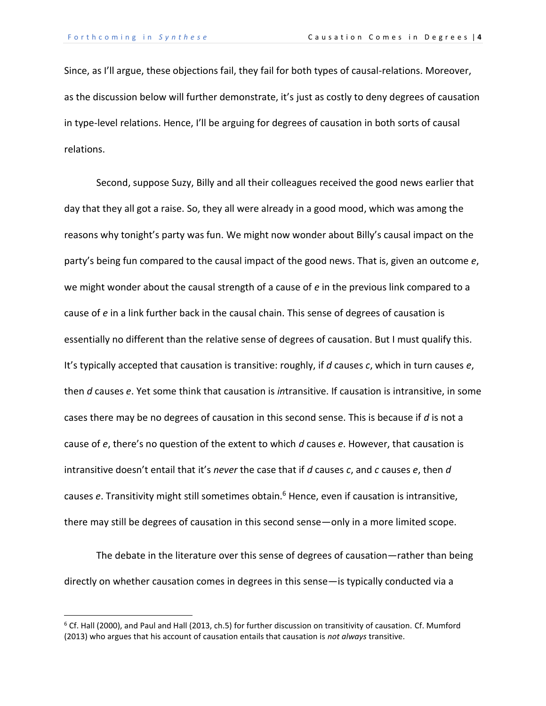Since, as I'll argue, these objections fail, they fail for both types of causal-relations. Moreover, as the discussion below will further demonstrate, it's just as costly to deny degrees of causation in type-level relations. Hence, I'll be arguing for degrees of causation in both sorts of causal relations.

Second, suppose Suzy, Billy and all their colleagues received the good news earlier that day that they all got a raise. So, they all were already in a good mood, which was among the reasons why tonight's party was fun. We might now wonder about Billy's causal impact on the party's being fun compared to the causal impact of the good news. That is, given an outcome *e*, we might wonder about the causal strength of a cause of *e* in the previous link compared to a cause of *e* in a link further back in the causal chain. This sense of degrees of causation is essentially no different than the relative sense of degrees of causation. But I must qualify this. It's typically accepted that causation is transitive: roughly, if *d* causes *c*, which in turn causes *e*, then *d* causes *e*. Yet some think that causation is *in*transitive. If causation is intransitive, in some cases there may be no degrees of causation in this second sense. This is because if *d* is not a cause of *e*, there's no question of the extent to which *d* causes *e*. However, that causation is intransitive doesn't entail that it's *never* the case that if *d* causes *c*, and *c* causes *e*, then *d* causes *e*. Transitivity might still sometimes obtain.<sup>6</sup> Hence, even if causation is intransitive, there may still be degrees of causation in this second sense—only in a more limited scope.

The debate in the literature over this sense of degrees of causation—rather than being directly on whether causation comes in degrees in this sense—is typically conducted via a

 $6$  Cf. Hall (2000), and Paul and Hall (2013, ch.5) for further discussion on transitivity of causation. Cf. Mumford (2013) who argues that his account of causation entails that causation is *not always* transitive.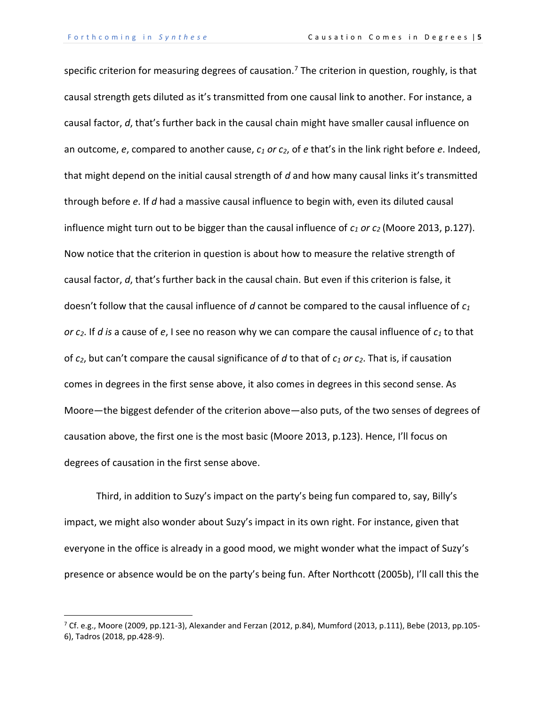specific criterion for measuring degrees of causation.<sup>7</sup> The criterion in question, roughly, is that causal strength gets diluted as it's transmitted from one causal link to another. For instance, a causal factor, *d*, that's further back in the causal chain might have smaller causal influence on an outcome, *e*, compared to another cause, *c<sup>1</sup> or c2*, of *e* that's in the link right before *e*. Indeed, that might depend on the initial causal strength of *d* and how many causal links it's transmitted through before *e*. If *d* had a massive causal influence to begin with, even its diluted causal influence might turn out to be bigger than the causal influence of *c<sup>1</sup> or c<sup>2</sup>* (Moore 2013, p.127). Now notice that the criterion in question is about how to measure the relative strength of causal factor, *d*, that's further back in the causal chain. But even if this criterion is false, it doesn't follow that the causal influence of *d* cannot be compared to the causal influence of *c<sup>1</sup> or c2*. If *d is* a cause of *e*, I see no reason why we can compare the causal influence of *c<sup>1</sup>* to that of *c2*, but can't compare the causal significance of *d* to that of *c<sup>1</sup> or c2*. That is, if causation comes in degrees in the first sense above, it also comes in degrees in this second sense. As Moore—the biggest defender of the criterion above—also puts, of the two senses of degrees of causation above, the first one is the most basic (Moore 2013, p.123). Hence, I'll focus on degrees of causation in the first sense above.

Third, in addition to Suzy's impact on the party's being fun compared to, say, Billy's impact, we might also wonder about Suzy's impact in its own right. For instance, given that everyone in the office is already in a good mood, we might wonder what the impact of Suzy's presence or absence would be on the party's being fun. After Northcott (2005b), I'll call this the

<sup>&</sup>lt;sup>7</sup> Cf. e.g., Moore (2009, pp.121-3), Alexander and Ferzan (2012, p.84), Mumford (2013, p.111), Bebe (2013, pp.105-6), Tadros (2018, pp.428-9).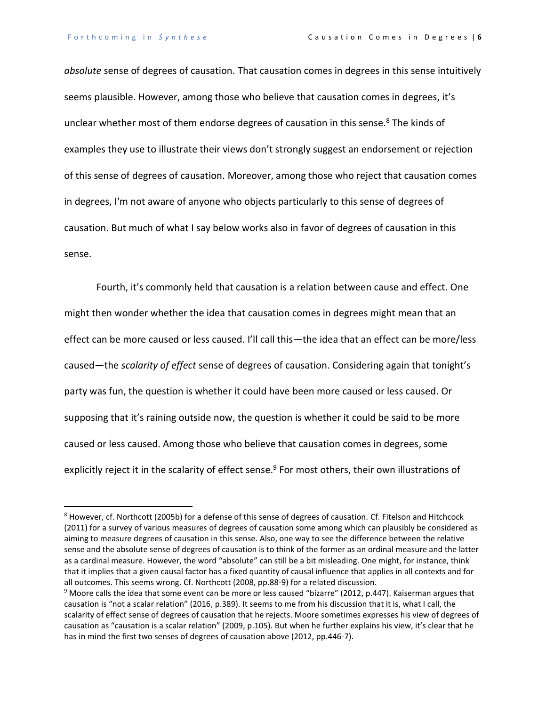*absolute* sense of degrees of causation. That causation comes in degrees in this sense intuitively seems plausible. However, among those who believe that causation comes in degrees, it's unclear whether most of them endorse degrees of causation in this sense.<sup>8</sup> The kinds of examples they use to illustrate their views don't strongly suggest an endorsement or rejection of this sense of degrees of causation. Moreover, among those who reject that causation comes in degrees, I'm not aware of anyone who objects particularly to this sense of degrees of causation. But much of what I say below works also in favor of degrees of causation in this sense.

Fourth, it's commonly held that causation is a relation between cause and effect. One might then wonder whether the idea that causation comes in degrees might mean that an effect can be more caused or less caused. I'll call this—the idea that an effect can be more/less caused—the *scalarity of effect* sense of degrees of causation. Considering again that tonight's party was fun, the question is whether it could have been more caused or less caused. Or supposing that it's raining outside now, the question is whether it could be said to be more caused or less caused. Among those who believe that causation comes in degrees, some explicitly reject it in the scalarity of effect sense.<sup>9</sup> For most others, their own illustrations of

<sup>&</sup>lt;sup>8</sup> However, cf. Northcott (2005b) for a defense of this sense of degrees of causation. Cf. Fitelson and Hitchcock (2011) for a survey of various measures of degrees of causation some among which can plausibly be considered as aiming to measure degrees of causation in this sense. Also, one way to see the difference between the relative sense and the absolute sense of degrees of causation is to think of the former as an ordinal measure and the latter as a cardinal measure. However, the word "absolute" can still be a bit misleading. One might, for instance, think that it implies that a given causal factor has a fixed quantity of causal influence that applies in all contexts and for all outcomes. This seems wrong. Cf. Northcott (2008, pp.88-9) for a related discussion.

<sup>&</sup>lt;sup>9</sup> Moore calls the idea that some event can be more or less caused "bizarre" (2012, p.447). Kaiserman argues that causation is "not a scalar relation" (2016, p.389). It seems to me from his discussion that it is, what I call, the scalarity of effect sense of degrees of causation that he rejects. Moore sometimes expresses his view of degrees of causation as "causation is a scalar relation" (2009, p.105). But when he further explains his view, it's clear that he has in mind the first two senses of degrees of causation above (2012, pp.446-7).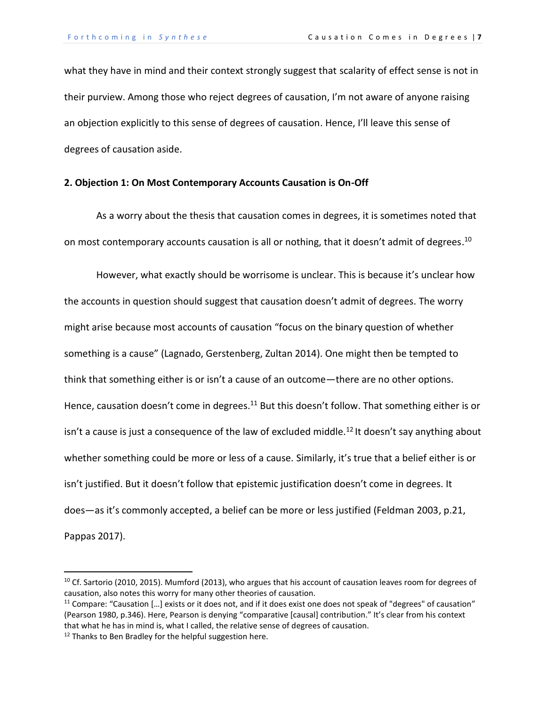what they have in mind and their context strongly suggest that scalarity of effect sense is not in their purview. Among those who reject degrees of causation, I'm not aware of anyone raising an objection explicitly to this sense of degrees of causation. Hence, I'll leave this sense of degrees of causation aside.

# **2. Objection 1: On Most Contemporary Accounts Causation is On-Off**

As a worry about the thesis that causation comes in degrees, it is sometimes noted that on most contemporary accounts causation is all or nothing, that it doesn't admit of degrees.<sup>10</sup>

However, what exactly should be worrisome is unclear. This is because it's unclear how the accounts in question should suggest that causation doesn't admit of degrees. The worry might arise because most accounts of causation "focus on the binary question of whether something is a cause" (Lagnado, Gerstenberg, Zultan 2014). One might then be tempted to think that something either is or isn't a cause of an outcome—there are no other options. Hence, causation doesn't come in degrees.<sup>11</sup> But this doesn't follow. That something either is or isn't a cause is just a consequence of the law of excluded middle.<sup>12</sup> It doesn't say anything about whether something could be more or less of a cause. Similarly, it's true that a belief either is or isn't justified. But it doesn't follow that epistemic justification doesn't come in degrees. It does—as it's commonly accepted, a belief can be more or less justified (Feldman 2003, p.21, Pappas 2017).

<sup>&</sup>lt;sup>10</sup> Cf. Sartorio (2010, 2015). Mumford (2013), who argues that his account of causation leaves room for degrees of causation, also notes this worry for many other theories of causation.

<sup>&</sup>lt;sup>11</sup> Compare: "Causation [...] exists or it does not, and if it does exist one does not speak of "degrees" of causation" (Pearson 1980, p.346). Here, Pearson is denying "comparative [causal] contribution." It's clear from his context that what he has in mind is, what I called, the relative sense of degrees of causation.

<sup>&</sup>lt;sup>12</sup> Thanks to Ben Bradley for the helpful suggestion here.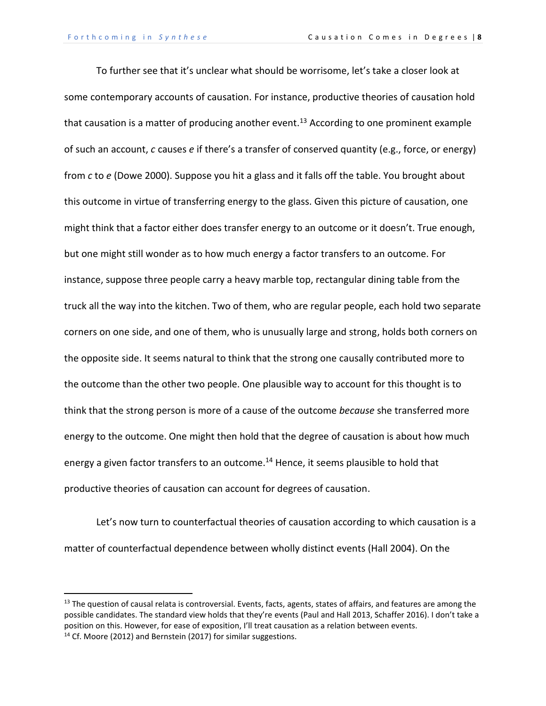To further see that it's unclear what should be worrisome, let's take a closer look at some contemporary accounts of causation. For instance, productive theories of causation hold that causation is a matter of producing another event.<sup>13</sup> According to one prominent example of such an account, *c* causes *e* if there's a transfer of conserved quantity (e.g., force, or energy) from *c* to *e* (Dowe 2000). Suppose you hit a glass and it falls off the table. You brought about this outcome in virtue of transferring energy to the glass. Given this picture of causation, one might think that a factor either does transfer energy to an outcome or it doesn't. True enough, but one might still wonder as to how much energy a factor transfers to an outcome. For instance, suppose three people carry a heavy marble top, rectangular dining table from the truck all the way into the kitchen. Two of them, who are regular people, each hold two separate corners on one side, and one of them, who is unusually large and strong, holds both corners on the opposite side. It seems natural to think that the strong one causally contributed more to the outcome than the other two people. One plausible way to account for this thought is to think that the strong person is more of a cause of the outcome *because* she transferred more energy to the outcome. One might then hold that the degree of causation is about how much energy a given factor transfers to an outcome.<sup>14</sup> Hence, it seems plausible to hold that productive theories of causation can account for degrees of causation.

Let's now turn to counterfactual theories of causation according to which causation is a matter of counterfactual dependence between wholly distinct events (Hall 2004). On the

 $<sup>13</sup>$  The question of causal relata is controversial. Events, facts, agents, states of affairs, and features are among the</sup> possible candidates. The standard view holds that they're events (Paul and Hall 2013, Schaffer 2016). I don't take a position on this. However, for ease of exposition, I'll treat causation as a relation between events.

<sup>&</sup>lt;sup>14</sup> Cf. Moore (2012) and Bernstein (2017) for similar suggestions.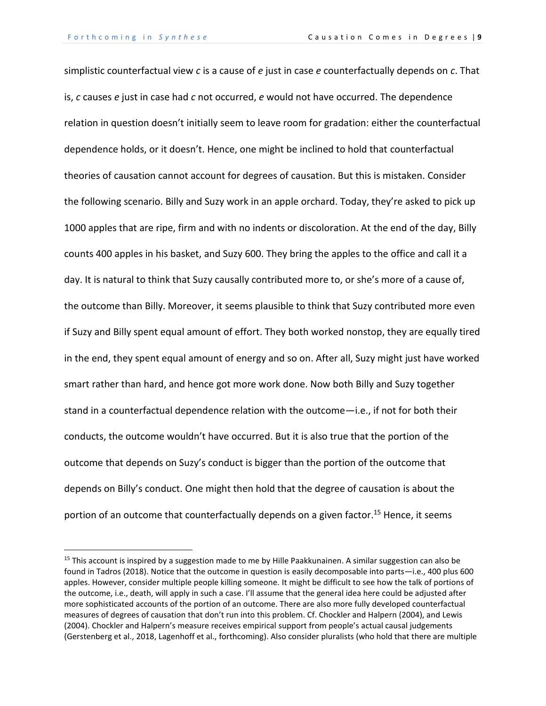simplistic counterfactual view *c* is a cause of *e* just in case *e* counterfactually depends on *c*. That is, *c* causes *e* just in case had *c* not occurred, *e* would not have occurred. The dependence relation in question doesn't initially seem to leave room for gradation: either the counterfactual dependence holds, or it doesn't. Hence, one might be inclined to hold that counterfactual theories of causation cannot account for degrees of causation. But this is mistaken. Consider the following scenario. Billy and Suzy work in an apple orchard. Today, they're asked to pick up 1000 apples that are ripe, firm and with no indents or discoloration. At the end of the day, Billy counts 400 apples in his basket, and Suzy 600. They bring the apples to the office and call it a day. It is natural to think that Suzy causally contributed more to, or she's more of a cause of, the outcome than Billy. Moreover, it seems plausible to think that Suzy contributed more even if Suzy and Billy spent equal amount of effort. They both worked nonstop, they are equally tired in the end, they spent equal amount of energy and so on. After all, Suzy might just have worked smart rather than hard, and hence got more work done. Now both Billy and Suzy together stand in a counterfactual dependence relation with the outcome—i.e., if not for both their conducts, the outcome wouldn't have occurred. But it is also true that the portion of the outcome that depends on Suzy's conduct is bigger than the portion of the outcome that depends on Billy's conduct. One might then hold that the degree of causation is about the portion of an outcome that counterfactually depends on a given factor.<sup>15</sup> Hence, it seems

<sup>&</sup>lt;sup>15</sup> This account is inspired by a suggestion made to me by Hille Paakkunainen. A similar suggestion can also be found in Tadros (2018). Notice that the outcome in question is easily decomposable into parts—i.e., 400 plus 600 apples. However, consider multiple people killing someone. It might be difficult to see how the talk of portions of the outcome, i.e., death, will apply in such a case. I'll assume that the general idea here could be adjusted after more sophisticated accounts of the portion of an outcome. There are also more fully developed counterfactual measures of degrees of causation that don't run into this problem. Cf. Chockler and Halpern (2004), and Lewis (2004). Chockler and Halpern's measure receives empirical support from people's actual causal judgements (Gerstenberg et al., 2018, Lagenhoff et al., forthcoming). Also consider pluralists (who hold that there are multiple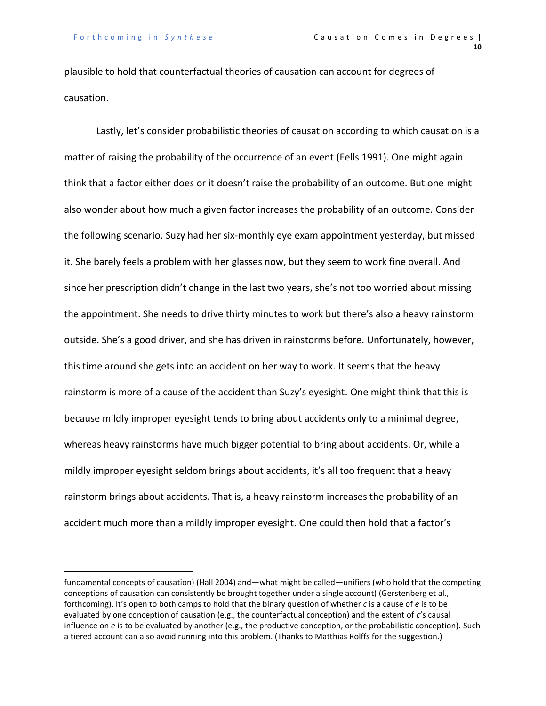plausible to hold that counterfactual theories of causation can account for degrees of causation.

Lastly, let's consider probabilistic theories of causation according to which causation is a matter of raising the probability of the occurrence of an event (Eells 1991). One might again think that a factor either does or it doesn't raise the probability of an outcome. But one might also wonder about how much a given factor increases the probability of an outcome. Consider the following scenario. Suzy had her six-monthly eye exam appointment yesterday, but missed it. She barely feels a problem with her glasses now, but they seem to work fine overall. And since her prescription didn't change in the last two years, she's not too worried about missing the appointment. She needs to drive thirty minutes to work but there's also a heavy rainstorm outside. She's a good driver, and she has driven in rainstorms before. Unfortunately, however, this time around she gets into an accident on her way to work. It seems that the heavy rainstorm is more of a cause of the accident than Suzy's eyesight. One might think that this is because mildly improper eyesight tends to bring about accidents only to a minimal degree, whereas heavy rainstorms have much bigger potential to bring about accidents. Or, while a mildly improper eyesight seldom brings about accidents, it's all too frequent that a heavy rainstorm brings about accidents. That is, a heavy rainstorm increases the probability of an accident much more than a mildly improper eyesight. One could then hold that a factor's

fundamental concepts of causation) (Hall 2004) and—what might be called—unifiers (who hold that the competing conceptions of causation can consistently be brought together under a single account) (Gerstenberg et al., forthcoming). It's open to both camps to hold that the binary question of whether *c* is a cause of *e* is to be evaluated by one conception of causation (e.g., the counterfactual conception) and the extent of *c*'s causal influence on *e* is to be evaluated by another (e.g., the productive conception, or the probabilistic conception). Such a tiered account can also avoid running into this problem. (Thanks to Matthias Rolffs for the suggestion.)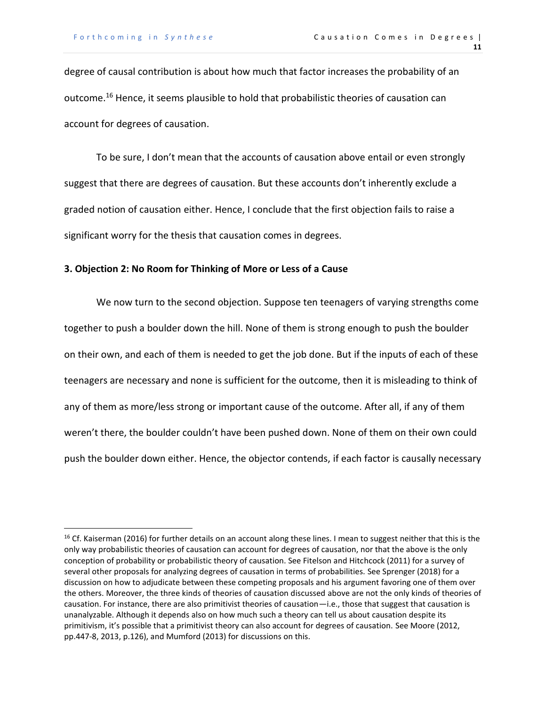degree of causal contribution is about how much that factor increases the probability of an outcome.<sup>16</sup> Hence, it seems plausible to hold that probabilistic theories of causation can account for degrees of causation.

To be sure, I don't mean that the accounts of causation above entail or even strongly suggest that there are degrees of causation. But these accounts don't inherently exclude a graded notion of causation either. Hence, I conclude that the first objection fails to raise a significant worry for the thesis that causation comes in degrees.

### **3. Objection 2: No Room for Thinking of More or Less of a Cause**

We now turn to the second objection. Suppose ten teenagers of varying strengths come together to push a boulder down the hill. None of them is strong enough to push the boulder on their own, and each of them is needed to get the job done. But if the inputs of each of these teenagers are necessary and none is sufficient for the outcome, then it is misleading to think of any of them as more/less strong or important cause of the outcome. After all, if any of them weren't there, the boulder couldn't have been pushed down. None of them on their own could push the boulder down either. Hence, the objector contends, if each factor is causally necessary

<sup>&</sup>lt;sup>16</sup> Cf. Kaiserman (2016) for further details on an account along these lines. I mean to suggest neither that this is the only way probabilistic theories of causation can account for degrees of causation, nor that the above is the only conception of probability or probabilistic theory of causation. See Fitelson and Hitchcock (2011) for a survey of several other proposals for analyzing degrees of causation in terms of probabilities. See Sprenger (2018) for a discussion on how to adjudicate between these competing proposals and his argument favoring one of them over the others. Moreover, the three kinds of theories of causation discussed above are not the only kinds of theories of causation. For instance, there are also primitivist theories of causation—i.e., those that suggest that causation is unanalyzable. Although it depends also on how much such a theory can tell us about causation despite its primitivism, it's possible that a primitivist theory can also account for degrees of causation. See Moore (2012, pp.447-8, 2013, p.126), and Mumford (2013) for discussions on this.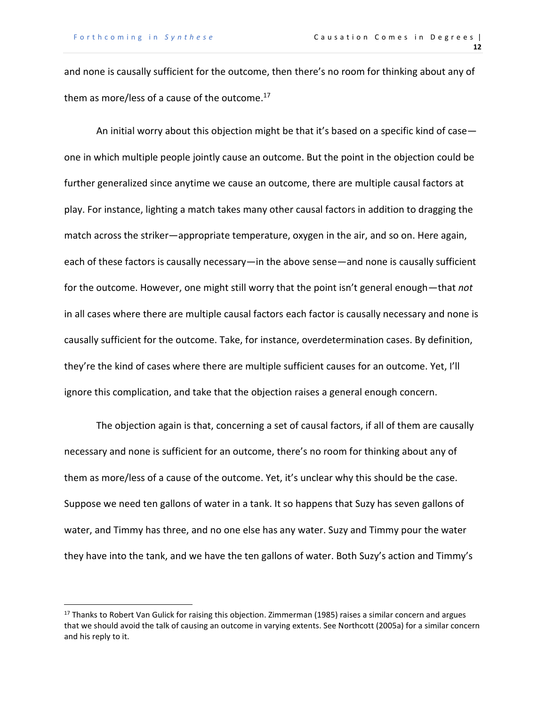and none is causally sufficient for the outcome, then there's no room for thinking about any of them as more/less of a cause of the outcome. 17

An initial worry about this objection might be that it's based on a specific kind of case one in which multiple people jointly cause an outcome. But the point in the objection could be further generalized since anytime we cause an outcome, there are multiple causal factors at play. For instance, lighting a match takes many other causal factors in addition to dragging the match across the striker—appropriate temperature, oxygen in the air, and so on. Here again, each of these factors is causally necessary—in the above sense—and none is causally sufficient for the outcome. However, one might still worry that the point isn't general enough—that *not* in all cases where there are multiple causal factors each factor is causally necessary and none is causally sufficient for the outcome. Take, for instance, overdetermination cases. By definition, they're the kind of cases where there are multiple sufficient causes for an outcome. Yet, I'll ignore this complication, and take that the objection raises a general enough concern.

The objection again is that, concerning a set of causal factors, if all of them are causally necessary and none is sufficient for an outcome, there's no room for thinking about any of them as more/less of a cause of the outcome. Yet, it's unclear why this should be the case. Suppose we need ten gallons of water in a tank. It so happens that Suzy has seven gallons of water, and Timmy has three, and no one else has any water. Suzy and Timmy pour the water they have into the tank, and we have the ten gallons of water. Both Suzy's action and Timmy's

<sup>&</sup>lt;sup>17</sup> Thanks to Robert Van Gulick for raising this objection. Zimmerman (1985) raises a similar concern and argues that we should avoid the talk of causing an outcome in varying extents. See Northcott (2005a) for a similar concern and his reply to it.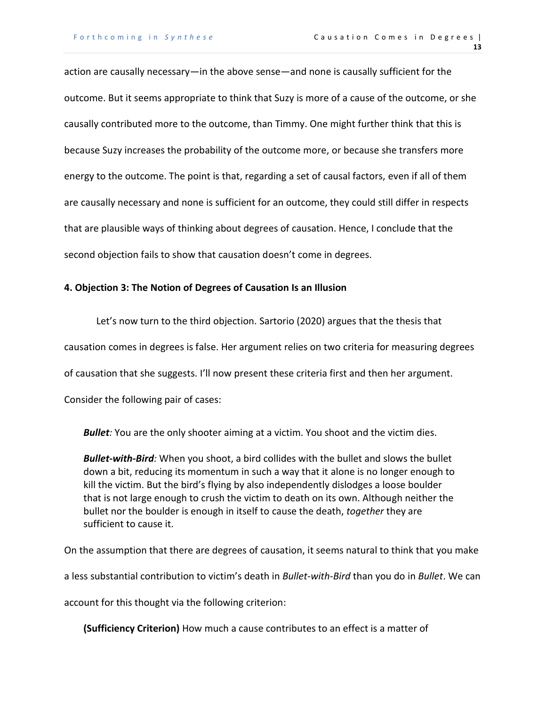action are causally necessary—in the above sense—and none is causally sufficient for the outcome. But it seems appropriate to think that Suzy is more of a cause of the outcome, or she causally contributed more to the outcome, than Timmy. One might further think that this is because Suzy increases the probability of the outcome more, or because she transfers more energy to the outcome. The point is that, regarding a set of causal factors, even if all of them are causally necessary and none is sufficient for an outcome, they could still differ in respects that are plausible ways of thinking about degrees of causation. Hence, I conclude that the second objection fails to show that causation doesn't come in degrees.

# **4. Objection 3: The Notion of Degrees of Causation Is an Illusion**

Let's now turn to the third objection. Sartorio (2020) argues that the thesis that causation comes in degrees is false. Her argument relies on two criteria for measuring degrees of causation that she suggests. I'll now present these criteria first and then her argument. Consider the following pair of cases:

*Bullet:* You are the only shooter aiming at a victim. You shoot and the victim dies.

*Bullet-with-Bird:* When you shoot, a bird collides with the bullet and slows the bullet down a bit, reducing its momentum in such a way that it alone is no longer enough to kill the victim. But the bird's flying by also independently dislodges a loose boulder that is not large enough to crush the victim to death on its own. Although neither the bullet nor the boulder is enough in itself to cause the death, *together* they are sufficient to cause it.

On the assumption that there are degrees of causation, it seems natural to think that you make

a less substantial contribution to victim's death in *Bullet-with-Bird* than you do in *Bullet*. We can

account for this thought via the following criterion:

**(Sufficiency Criterion)** How much a cause contributes to an effect is a matter of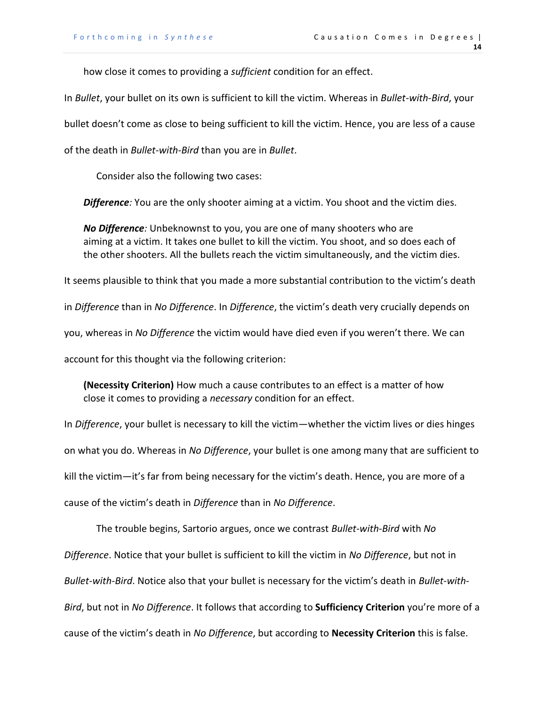how close it comes to providing a *sufficient* condition for an effect.

In *Bullet*, your bullet on its own is sufficient to kill the victim. Whereas in *Bullet-with-Bird*, your

bullet doesn't come as close to being sufficient to kill the victim. Hence, you are less of a cause

of the death in *Bullet-with-Bird* than you are in *Bullet*.

Consider also the following two cases:

*Difference:* You are the only shooter aiming at a victim. You shoot and the victim dies.

*No Difference:* Unbeknownst to you, you are one of many shooters who are aiming at a victim. It takes one bullet to kill the victim. You shoot, and so does each of the other shooters. All the bullets reach the victim simultaneously, and the victim dies.

It seems plausible to think that you made a more substantial contribution to the victim's death

in *Difference* than in *No Difference*. In *Difference*, the victim's death very crucially depends on

you, whereas in *No Difference* the victim would have died even if you weren't there. We can

account for this thought via the following criterion:

**(Necessity Criterion)** How much a cause contributes to an effect is a matter of how close it comes to providing a *necessary* condition for an effect.

In *Difference*, your bullet is necessary to kill the victim—whether the victim lives or dies hinges on what you do. Whereas in *No Difference*, your bullet is one among many that are sufficient to kill the victim—it's far from being necessary for the victim's death. Hence, you are more of a cause of the victim's death in *Difference* than in *No Difference*.

The trouble begins, Sartorio argues, once we contrast *Bullet-with-Bird* with *No Difference*. Notice that your bullet is sufficient to kill the victim in *No Difference*, but not in *Bullet-with-Bird*. Notice also that your bullet is necessary for the victim's death in *Bullet-with-Bird*, but not in *No Difference*. It follows that according to **Sufficiency Criterion** you're more of a cause of the victim's death in *No Difference*, but according to **Necessity Criterion** this is false.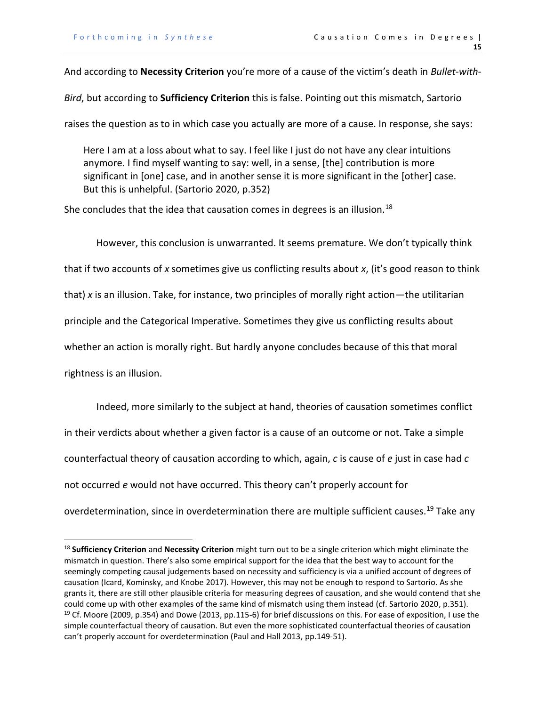And according to **Necessity Criterion** you're more of a cause of the victim's death in *Bullet-with-*

*Bird*, but according to **Sufficiency Criterion** this is false. Pointing out this mismatch, Sartorio

raises the question as to in which case you actually are more of a cause. In response, she says:

Here I am at a loss about what to say. I feel like I just do not have any clear intuitions anymore. I find myself wanting to say: well, in a sense, [the] contribution is more significant in [one] case, and in another sense it is more significant in the [other] case. But this is unhelpful. (Sartorio 2020, p.352)

She concludes that the idea that causation comes in degrees is an illusion.<sup>18</sup>

However, this conclusion is unwarranted. It seems premature. We don't typically think that if two accounts of *x* sometimes give us conflicting results about *x*, (it's good reason to think that) *x* is an illusion. Take, for instance, two principles of morally right action—the utilitarian principle and the Categorical Imperative. Sometimes they give us conflicting results about whether an action is morally right. But hardly anyone concludes because of this that moral rightness is an illusion.

Indeed, more similarly to the subject at hand, theories of causation sometimes conflict in their verdicts about whether a given factor is a cause of an outcome or not. Take a simple counterfactual theory of causation according to which, again, *c* is cause of *e* just in case had *c* not occurred *e* would not have occurred. This theory can't properly account for overdetermination, since in overdetermination there are multiple sufficient causes.<sup>19</sup> Take any

<sup>18</sup> **Sufficiency Criterion** and **Necessity Criterion** might turn out to be a single criterion which might eliminate the mismatch in question. There's also some empirical support for the idea that the best way to account for the seemingly competing causal judgements based on necessity and sufficiency is via a unified account of degrees of causation (Icard, Kominsky, and Knobe 2017). However, this may not be enough to respond to Sartorio. As she grants it, there are still other plausible criteria for measuring degrees of causation, and she would contend that she could come up with other examples of the same kind of mismatch using them instead (cf. Sartorio 2020, p.351). <sup>19</sup> Cf. Moore (2009, p.354) and Dowe (2013, pp.115-6) for brief discussions on this. For ease of exposition, I use the simple counterfactual theory of causation. But even the more sophisticated counterfactual theories of causation can't properly account for overdetermination (Paul and Hall 2013, pp.149-51).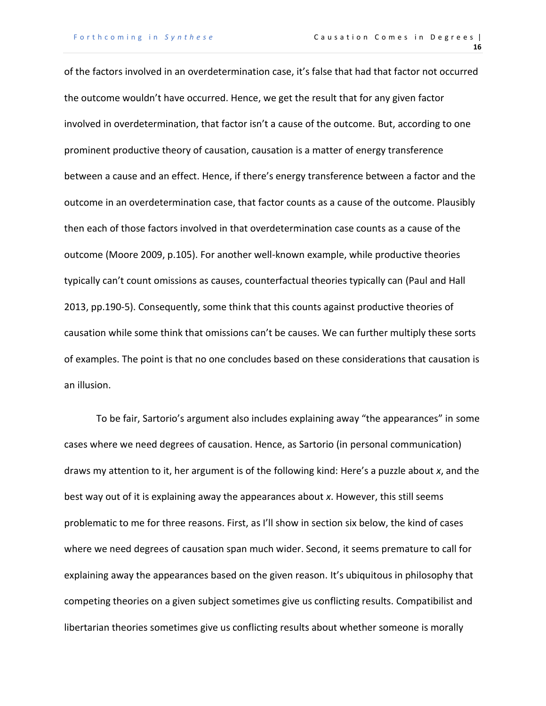of the factors involved in an overdetermination case, it's false that had that factor not occurred the outcome wouldn't have occurred. Hence, we get the result that for any given factor involved in overdetermination, that factor isn't a cause of the outcome. But, according to one prominent productive theory of causation, causation is a matter of energy transference between a cause and an effect. Hence, if there's energy transference between a factor and the outcome in an overdetermination case, that factor counts as a cause of the outcome. Plausibly then each of those factors involved in that overdetermination case counts as a cause of the outcome (Moore 2009, p.105). For another well-known example, while productive theories typically can't count omissions as causes, counterfactual theories typically can (Paul and Hall 2013, pp.190-5). Consequently, some think that this counts against productive theories of causation while some think that omissions can't be causes. We can further multiply these sorts of examples. The point is that no one concludes based on these considerations that causation is an illusion.

To be fair, Sartorio's argument also includes explaining away "the appearances" in some cases where we need degrees of causation. Hence, as Sartorio (in personal communication) draws my attention to it, her argument is of the following kind: Here's a puzzle about *x*, and the best way out of it is explaining away the appearances about *x*. However, this still seems problematic to me for three reasons. First, as I'll show in section six below, the kind of cases where we need degrees of causation span much wider. Second, it seems premature to call for explaining away the appearances based on the given reason. It's ubiquitous in philosophy that competing theories on a given subject sometimes give us conflicting results. Compatibilist and libertarian theories sometimes give us conflicting results about whether someone is morally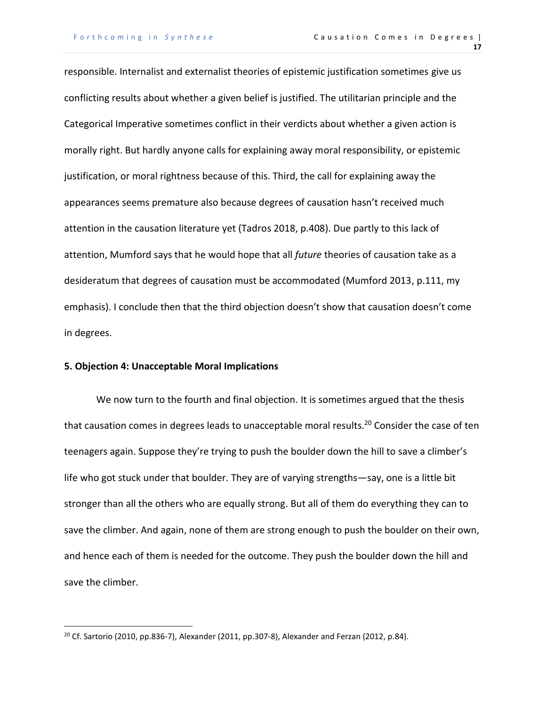responsible. Internalist and externalist theories of epistemic justification sometimes give us conflicting results about whether a given belief is justified. The utilitarian principle and the Categorical Imperative sometimes conflict in their verdicts about whether a given action is morally right. But hardly anyone calls for explaining away moral responsibility, or epistemic justification, or moral rightness because of this. Third, the call for explaining away the appearances seems premature also because degrees of causation hasn't received much attention in the causation literature yet (Tadros 2018, p.408). Due partly to this lack of attention, Mumford says that he would hope that all *future* theories of causation take as a desideratum that degrees of causation must be accommodated (Mumford 2013, p.111, my emphasis). I conclude then that the third objection doesn't show that causation doesn't come in degrees.

## **5. Objection 4: Unacceptable Moral Implications**

We now turn to the fourth and final objection. It is sometimes argued that the thesis that causation comes in degrees leads to unacceptable moral results.<sup>20</sup> Consider the case of ten teenagers again. Suppose they're trying to push the boulder down the hill to save a climber's life who got stuck under that boulder. They are of varying strengths—say, one is a little bit stronger than all the others who are equally strong. But all of them do everything they can to save the climber. And again, none of them are strong enough to push the boulder on their own, and hence each of them is needed for the outcome. They push the boulder down the hill and save the climber.

<sup>&</sup>lt;sup>20</sup> Cf. Sartorio (2010, pp.836-7), Alexander (2011, pp.307-8), Alexander and Ferzan (2012, p.84).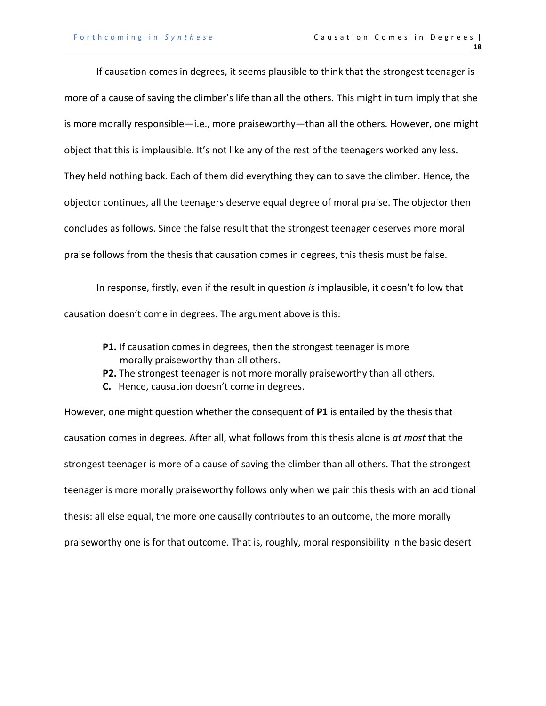If causation comes in degrees, it seems plausible to think that the strongest teenager is more of a cause of saving the climber's life than all the others. This might in turn imply that she is more morally responsible—i.e., more praiseworthy—than all the others. However, one might object that this is implausible. It's not like any of the rest of the teenagers worked any less. They held nothing back. Each of them did everything they can to save the climber. Hence, the objector continues, all the teenagers deserve equal degree of moral praise. The objector then concludes as follows. Since the false result that the strongest teenager deserves more moral praise follows from the thesis that causation comes in degrees, this thesis must be false.

In response, firstly, even if the result in question *is* implausible, it doesn't follow that causation doesn't come in degrees. The argument above is this:

- **P1.** If causation comes in degrees, then the strongest teenager is more morally praiseworthy than all others.
- **P2.** The strongest teenager is not more morally praiseworthy than all others.
- **C.** Hence, causation doesn't come in degrees.

However, one might question whether the consequent of **P1** is entailed by the thesis that causation comes in degrees. After all, what follows from this thesis alone is *at most* that the strongest teenager is more of a cause of saving the climber than all others. That the strongest teenager is more morally praiseworthy follows only when we pair this thesis with an additional thesis: all else equal, the more one causally contributes to an outcome, the more morally praiseworthy one is for that outcome. That is, roughly, moral responsibility in the basic desert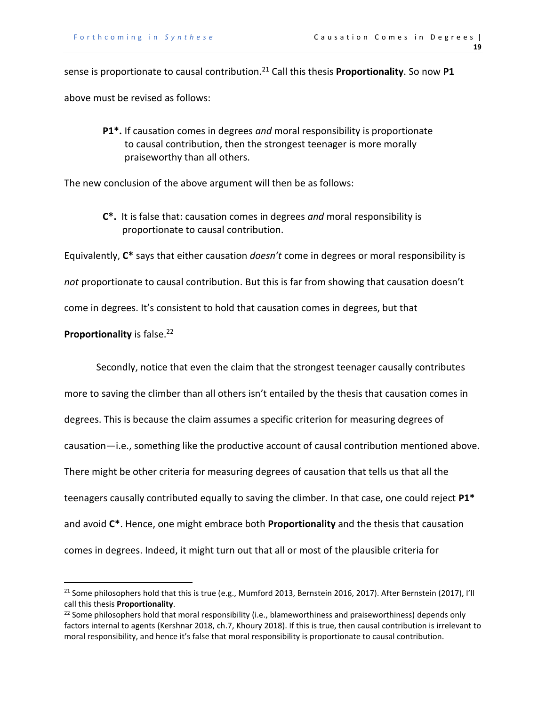sense is proportionate to causal contribution.<sup>21</sup> Call this thesis **Proportionality**. So now **P1** above must be revised as follows:

**P1\*.** If causation comes in degrees *and* moral responsibility is proportionate to causal contribution, then the strongest teenager is more morally praiseworthy than all others.

The new conclusion of the above argument will then be as follows:

**C\*.** It is false that: causation comes in degrees *and* moral responsibility is proportionate to causal contribution.

Equivalently, **C\*** says that either causation *doesn't* come in degrees or moral responsibility is

*not* proportionate to causal contribution. But this is far from showing that causation doesn't

come in degrees. It's consistent to hold that causation comes in degrees, but that

**Proportionality** is false. 22

Secondly, notice that even the claim that the strongest teenager causally contributes more to saving the climber than all others isn't entailed by the thesis that causation comes in degrees. This is because the claim assumes a specific criterion for measuring degrees of causation—i.e., something like the productive account of causal contribution mentioned above. There might be other criteria for measuring degrees of causation that tells us that all the teenagers causally contributed equally to saving the climber. In that case, one could reject **P1\*** and avoid **C\***. Hence, one might embrace both **Proportionality** and the thesis that causation comes in degrees. Indeed, it might turn out that all or most of the plausible criteria for

<sup>&</sup>lt;sup>21</sup> Some philosophers hold that this is true (e.g., Mumford 2013, Bernstein 2016, 2017). After Bernstein (2017), I'll call this thesis **Proportionality**.

 $22$  Some philosophers hold that moral responsibility (i.e., blameworthiness and praiseworthiness) depends only factors internal to agents (Kershnar 2018, ch.7, Khoury 2018). If this is true, then causal contribution is irrelevant to moral responsibility, and hence it's false that moral responsibility is proportionate to causal contribution.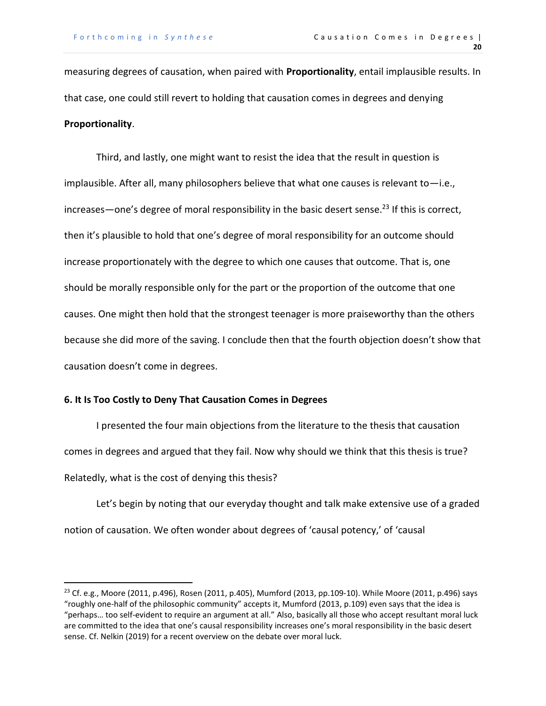measuring degrees of causation, when paired with **Proportionality**, entail implausible results. In that case, one could still revert to holding that causation comes in degrees and denying **Proportionality**.

Third, and lastly, one might want to resist the idea that the result in question is implausible. After all, many philosophers believe that what one causes is relevant to—i.e., increases—one's degree of moral responsibility in the basic desert sense.<sup>23</sup> If this is correct, then it's plausible to hold that one's degree of moral responsibility for an outcome should increase proportionately with the degree to which one causes that outcome. That is, one should be morally responsible only for the part or the proportion of the outcome that one causes. One might then hold that the strongest teenager is more praiseworthy than the others because she did more of the saving. I conclude then that the fourth objection doesn't show that causation doesn't come in degrees.

# **6. It Is Too Costly to Deny That Causation Comes in Degrees**

I presented the four main objections from the literature to the thesis that causation comes in degrees and argued that they fail. Now why should we think that this thesis is true? Relatedly, what is the cost of denying this thesis?

Let's begin by noting that our everyday thought and talk make extensive use of a graded notion of causation. We often wonder about degrees of 'causal potency,' of 'causal

<sup>23</sup> Cf. e.g., Moore (2011, p.496), Rosen (2011, p.405), Mumford (2013, pp.109-10). While Moore (2011, p.496) says "roughly one-half of the philosophic community" accepts it, Mumford (2013, p.109) even says that the idea is "perhaps… too self-evident to require an argument at all." Also, basically all those who accept resultant moral luck are committed to the idea that one's causal responsibility increases one's moral responsibility in the basic desert sense. Cf. Nelkin (2019) for a recent overview on the debate over moral luck.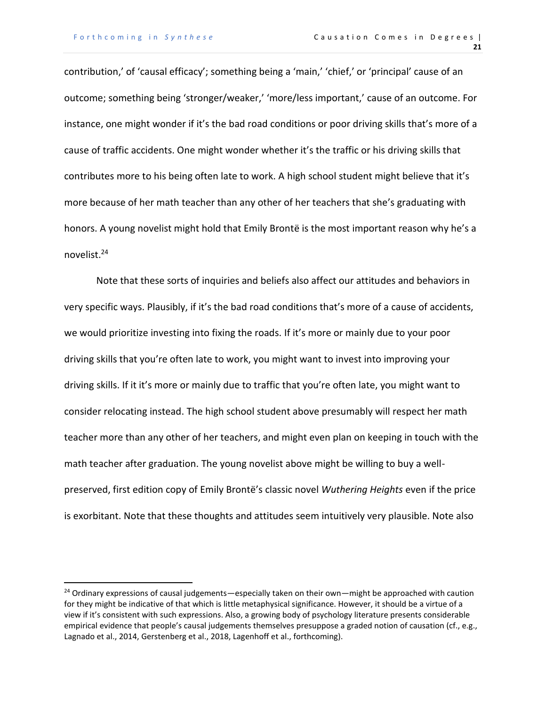contribution,' of 'causal efficacy'; something being a 'main,' 'chief,' or 'principal' cause of an outcome; something being 'stronger/weaker,' 'more/less important,' cause of an outcome. For instance, one might wonder if it's the bad road conditions or poor driving skills that's more of a cause of traffic accidents. One might wonder whether it's the traffic or his driving skills that contributes more to his being often late to work. A high school student might believe that it's more because of her math teacher than any other of her teachers that she's graduating with honors. A young novelist might hold that Emily Brontë is the most important reason why he's a novelist.<sup>24</sup>

Note that these sorts of inquiries and beliefs also affect our attitudes and behaviors in very specific ways. Plausibly, if it's the bad road conditions that's more of a cause of accidents, we would prioritize investing into fixing the roads. If it's more or mainly due to your poor driving skills that you're often late to work, you might want to invest into improving your driving skills. If it it's more or mainly due to traffic that you're often late, you might want to consider relocating instead. The high school student above presumably will respect her math teacher more than any other of her teachers, and might even plan on keeping in touch with the math teacher after graduation. The young novelist above might be willing to buy a wellpreserved, first edition copy of Emily Brontë's classic novel *Wuthering Heights* even if the price is exorbitant. Note that these thoughts and attitudes seem intuitively very plausible. Note also

<sup>&</sup>lt;sup>24</sup> Ordinary expressions of causal judgements—especially taken on their own—might be approached with caution for they might be indicative of that which is little metaphysical significance. However, it should be a virtue of a view if it's consistent with such expressions. Also, a growing body of psychology literature presents considerable empirical evidence that people's causal judgements themselves presuppose a graded notion of causation (cf., e.g., Lagnado et al., 2014, Gerstenberg et al., 2018, Lagenhoff et al., forthcoming).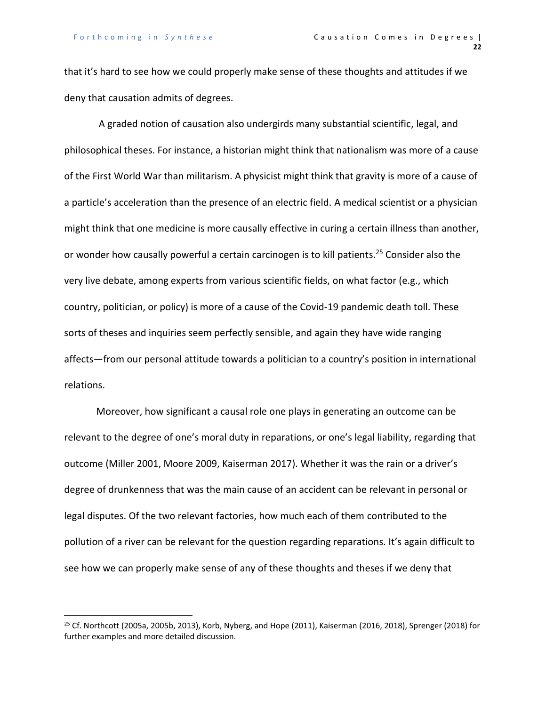that it's hard to see how we could properly make sense of these thoughts and attitudes if we deny that causation admits of degrees.

A graded notion of causation also undergirds many substantial scientific, legal, and philosophical theses. For instance, a historian might think that nationalism was more of a cause of the First World War than militarism. A physicist might think that gravity is more of a cause of a particle's acceleration than the presence of an electric field. A medical scientist or a physician might think that one medicine is more causally effective in curing a certain illness than another, or wonder how causally powerful a certain carcinogen is to kill patients. <sup>25</sup> Consider also the very live debate, among experts from various scientific fields, on what factor (e.g., which country, politician, or policy) is more of a cause of the Covid-19 pandemic death toll. These sorts of theses and inquiries seem perfectly sensible, and again they have wide ranging affects—from our personal attitude towards a politician to a country's position in international relations.

Moreover, how significant a causal role one plays in generating an outcome can be relevant to the degree of one's moral duty in reparations, or one's legal liability, regarding that outcome (Miller 2001, Moore 2009, Kaiserman 2017). Whether it was the rain or a driver's degree of drunkenness that was the main cause of an accident can be relevant in personal or legal disputes. Of the two relevant factories, how much each of them contributed to the pollution of a river can be relevant for the question regarding reparations. It's again difficult to see how we can properly make sense of any of these thoughts and theses if we deny that

<sup>&</sup>lt;sup>25</sup> Cf. Northcott (2005a, 2005b, 2013), Korb, Nyberg, and Hope (2011), Kaiserman (2016, 2018), Sprenger (2018) for further examples and more detailed discussion.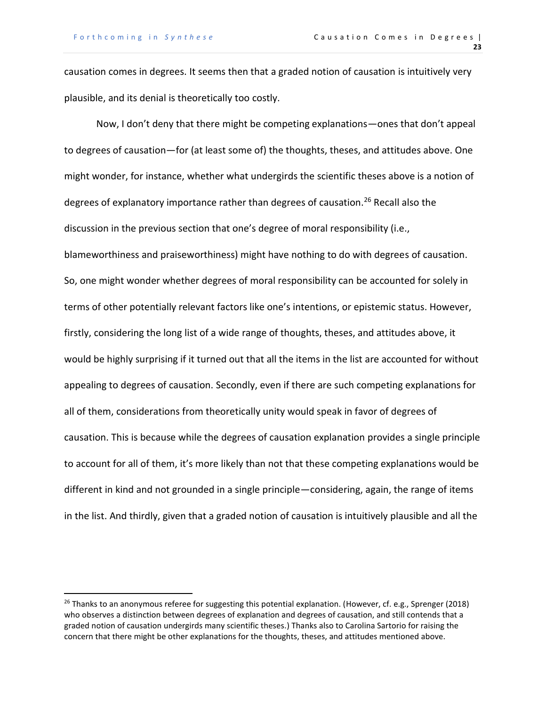causation comes in degrees. It seems then that a graded notion of causation is intuitively very plausible, and its denial is theoretically too costly.

Now, I don't deny that there might be competing explanations—ones that don't appeal to degrees of causation—for (at least some of) the thoughts, theses, and attitudes above. One might wonder, for instance, whether what undergirds the scientific theses above is a notion of degrees of explanatory importance rather than degrees of causation.<sup>26</sup> Recall also the discussion in the previous section that one's degree of moral responsibility (i.e., blameworthiness and praiseworthiness) might have nothing to do with degrees of causation. So, one might wonder whether degrees of moral responsibility can be accounted for solely in terms of other potentially relevant factors like one's intentions, or epistemic status. However, firstly, considering the long list of a wide range of thoughts, theses, and attitudes above, it would be highly surprising if it turned out that all the items in the list are accounted for without appealing to degrees of causation. Secondly, even if there are such competing explanations for all of them, considerations from theoretically unity would speak in favor of degrees of causation. This is because while the degrees of causation explanation provides a single principle to account for all of them, it's more likely than not that these competing explanations would be different in kind and not grounded in a single principle—considering, again, the range of items in the list. And thirdly, given that a graded notion of causation is intuitively plausible and all the

 $^{26}$  Thanks to an anonymous referee for suggesting this potential explanation. (However, cf. e.g., Sprenger (2018) who observes a distinction between degrees of explanation and degrees of causation, and still contends that a graded notion of causation undergirds many scientific theses.) Thanks also to Carolina Sartorio for raising the concern that there might be other explanations for the thoughts, theses, and attitudes mentioned above.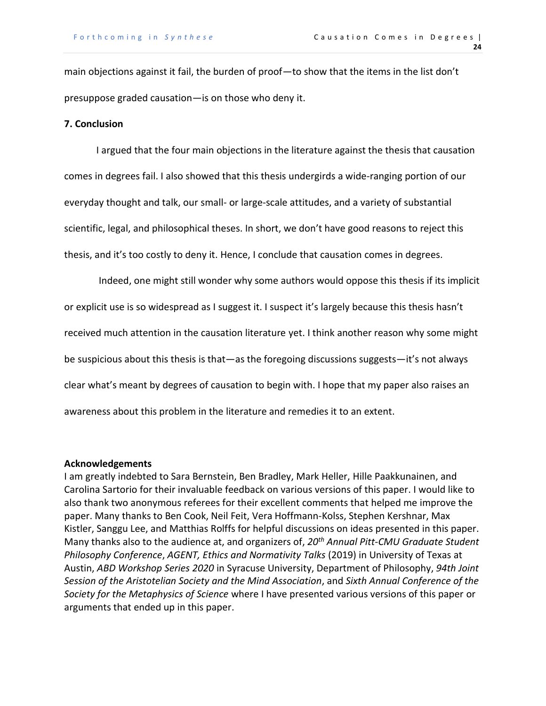main objections against it fail, the burden of proof—to show that the items in the list don't presuppose graded causation—is on those who deny it.

# **7. Conclusion**

I argued that the four main objections in the literature against the thesis that causation comes in degrees fail. I also showed that this thesis undergirds a wide-ranging portion of our everyday thought and talk, our small- or large-scale attitudes, and a variety of substantial scientific, legal, and philosophical theses. In short, we don't have good reasons to reject this thesis, and it's too costly to deny it. Hence, I conclude that causation comes in degrees.

Indeed, one might still wonder why some authors would oppose this thesis if its implicit or explicit use is so widespread as I suggest it. I suspect it's largely because this thesis hasn't received much attention in the causation literature yet. I think another reason why some might be suspicious about this thesis is that—as the foregoing discussions suggests—it's not always clear what's meant by degrees of causation to begin with. I hope that my paper also raises an awareness about this problem in the literature and remedies it to an extent.

#### **Acknowledgements**

I am greatly indebted to Sara Bernstein, Ben Bradley, Mark Heller, Hille Paakkunainen, and Carolina Sartorio for their invaluable feedback on various versions of this paper. I would like to also thank two anonymous referees for their excellent comments that helped me improve the paper. Many thanks to Ben Cook, Neil Feit, Vera Hoffmann-Kolss, Stephen Kershnar, Max Kistler, Sanggu Lee, and Matthias Rolffs for helpful discussions on ideas presented in this paper. Many thanks also to the audience at, and organizers of, *20th Annual Pitt-CMU Graduate Student Philosophy Conference*, *AGENT, Ethics and Normativity Talks* (2019) in University of Texas at Austin, *ABD Workshop Series 2020* in Syracuse University, Department of Philosophy, *94th Joint Session of the Aristotelian Society and the Mind Association*, and *Sixth Annual Conference of the Society for the Metaphysics of Science* where I have presented various versions of this paper or arguments that ended up in this paper.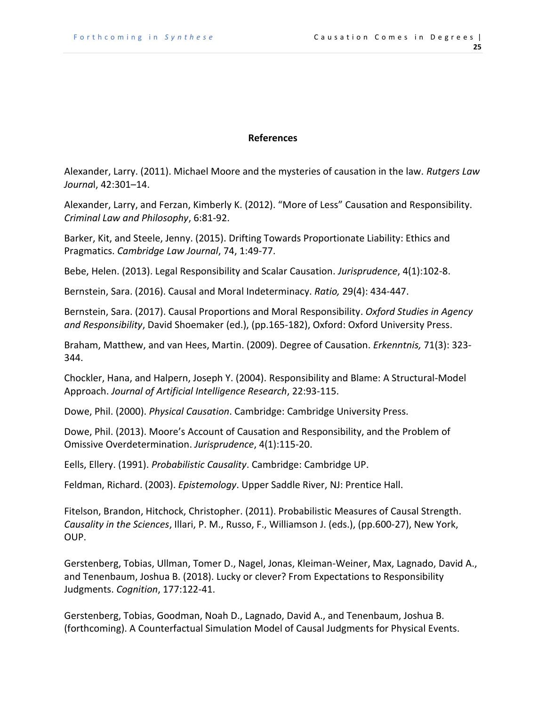# **References**

Alexander, Larry. (2011). Michael Moore and the mysteries of causation in the law. *Rutgers Law Journa*l, 42:301–14.

Alexander, Larry, and Ferzan, Kimberly K. (2012). "More of Less" Causation and Responsibility. *Criminal Law and Philosophy*, 6:81-92.

Barker, Kit, and Steele, Jenny. (2015). Drifting Towards Proportionate Liability: Ethics and Pragmatics. *Cambridge Law Journal*, 74, 1:49-77.

Bebe, Helen. (2013). Legal Responsibility and Scalar Causation. *Jurisprudence*, 4(1):102-8.

Bernstein, Sara. (2016). Causal and Moral Indeterminacy. *Ratio,* 29(4): 434-447.

Bernstein, Sara. (2017). Causal Proportions and Moral Responsibility. *Oxford Studies in Agency and Responsibility*, David Shoemaker (ed.), (pp.165-182), Oxford: Oxford University Press.

Braham, Matthew, and van Hees, Martin. (2009). Degree of Causation. *Erkenntnis,* 71(3): 323- 344.

Chockler, Hana, and Halpern, Joseph Y. (2004). Responsibility and Blame: A Structural-Model Approach. *Journal of Artificial Intelligence Research*, 22:93-115.

Dowe, Phil. (2000). *Physical Causation*. Cambridge: Cambridge University Press.

Dowe, Phil. (2013). Moore's Account of Causation and Responsibility, and the Problem of Omissive Overdetermination. *Jurisprudence*, 4(1):115-20.

Eells, Ellery. (1991). *Probabilistic Causality*. Cambridge: Cambridge UP.

Feldman, Richard. (2003). *Epistemology*. Upper Saddle River, NJ: Prentice Hall.

Fitelson, Brandon, Hitchock, Christopher. (2011). Probabilistic Measures of Causal Strength. *Causality in the Sciences*, Illari, P. M., Russo, F., Williamson J. (eds.), (pp.600-27), New York, OUP.

Gerstenberg, Tobias, Ullman, Tomer D., Nagel, Jonas, Kleiman-Weiner, Max, Lagnado, David A., and Tenenbaum, Joshua B. (2018). Lucky or clever? From Expectations to Responsibility Judgments. *Cognition*, 177:122-41.

Gerstenberg, Tobias, Goodman, Noah D., Lagnado, David A., and Tenenbaum, Joshua B. (forthcoming). A Counterfactual Simulation Model of Causal Judgments for Physical Events.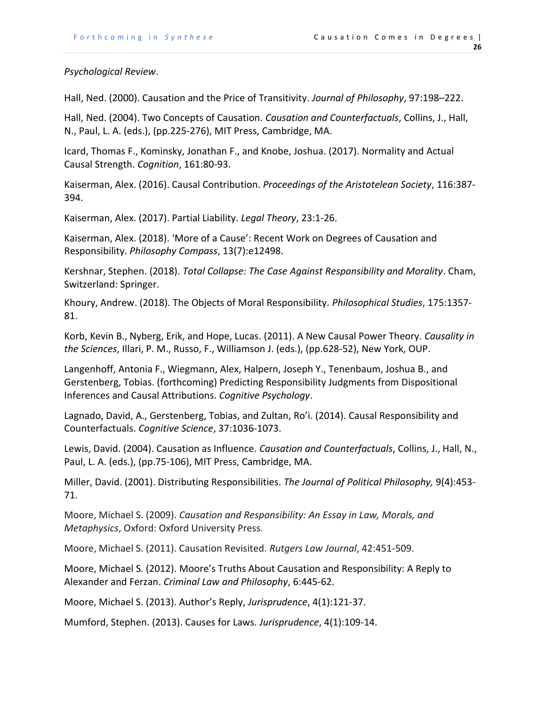# *Psychological Review*.

Hall, Ned. (2000). Causation and the Price of Transitivity. *Journal of Philosophy*, 97:198–222.

Hall, Ned. (2004). Two Concepts of Causation. *Causation and Counterfactuals*, Collins, J., Hall, N., Paul, L. A. (eds.), (pp.225-276), MIT Press, Cambridge, MA.

Icard, Thomas F., Kominsky, Jonathan F., and Knobe, Joshua. (2017). Normality and Actual Causal Strength. *Cognition*, 161:80-93.

Kaiserman, Alex. (2016). Causal Contribution. *Proceedings of the Aristotelean Society*, 116:387- 394.

Kaiserman, Alex. (2017). Partial Liability. *Legal Theory*, 23:1-26.

Kaiserman, Alex. (2018). 'More of a Cause': Recent Work on Degrees of Causation and Responsibility. *Philosophy Compass*, 13(7):e12498.

Kershnar, Stephen. (2018). *Total Collapse: The Case Against Responsibility and Morality*. Cham, Switzerland: Springer.

Khoury, Andrew. (2018). The Objects of Moral Responsibility. *Philosophical Studies*, 175:1357- 81.

Korb, Kevin B., Nyberg, Erik, and Hope, Lucas. (2011). A New Causal Power Theory. *Causality in the Sciences*, Illari, P. M., Russo, F., Williamson J. (eds.), (pp.628-52), New York, OUP.

Langenhoff, Antonia F., Wiegmann, Alex, Halpern, Joseph Y., Tenenbaum, Joshua B., and Gerstenberg, Tobias. (forthcoming) Predicting Responsibility Judgments from Dispositional Inferences and Causal Attributions. *Cognitive Psychology*.

Lagnado, David, A., Gerstenberg, Tobias, and Zultan, Ro'i. (2014). Causal Responsibility and Counterfactuals. *Cognitive Science*, 37:1036-1073.

Lewis, David. (2004). Causation as Influence. *Causation and Counterfactuals*, Collins, J., Hall, N., Paul, L. A. (eds.), (pp.75-106), MIT Press, Cambridge, MA.

Miller, David. (2001). Distributing Responsibilities. *The Journal of Political Philosophy,* 9(4):453- 71.

Moore, Michael S. (2009). *Causation and Responsibility: An Essay in Law, Morals, and Metaphysics*, Oxford: Oxford University Press.

Moore, Michael S. (2011). Causation Revisited. *Rutgers Law Journal*, 42:451-509.

Moore, Michael S. (2012). Moore's Truths About Causation and Responsibility: A Reply to Alexander and Ferzan. *Criminal Law and Philosophy*, 6:445-62.

Moore, Michael S. (2013). Author's Reply, *Jurisprudence*, 4(1):121-37.

Mumford, Stephen. (2013). Causes for Laws. *Jurisprudence*, 4(1):109-14.